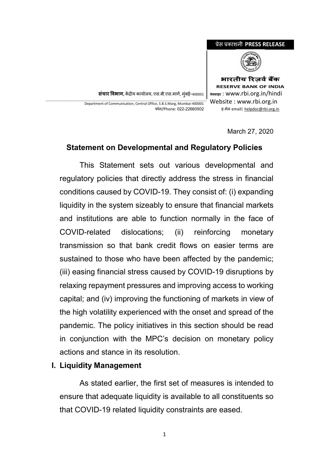#### प्रेस प्रकाशनी **PRESS RELEASE**



**भारतीय �रज़वर्ब�क**

संचार विभाग, केंद्रीय कार्यालय, एस.बी.एस.मार्ग, मुंबई-400001

**RESERVE BANK OF INDIA <sup>0</sup>वेबसाइट** : www.rbi.org.in/hindi Website : www.rbi.org.in <sup>इ</sup>-मेल email**:** [helpdoc@rbi.org.in](mailto:helpdoc@rbi.org.in)

Department of Communication, Central Office, S.B.S.Marg, Mumbai-400001 फोन/Phone: 022-22660502

March 27, 2020

#### **Statement on Developmental and Regulatory Policies**

This Statement sets out various developmental and regulatory policies that directly address the stress in financial conditions caused by COVID-19. They consist of: (i) expanding liquidity in the system sizeably to ensure that financial markets and institutions are able to function normally in the face of COVID-related dislocations; (ii) reinforcing monetary transmission so that bank credit flows on easier terms are sustained to those who have been affected by the pandemic; (iii) easing financial stress caused by COVID-19 disruptions by relaxing repayment pressures and improving access to working capital; and (iv) improving the functioning of markets in view of the high volatility experienced with the onset and spread of the pandemic. The policy initiatives in this section should be read in conjunction with the MPC's decision on monetary policy actions and stance in its resolution.

#### **I. Liquidity Management**

As stated earlier, the first set of measures is intended to ensure that adequate liquidity is available to all constituents so that COVID-19 related liquidity constraints are eased.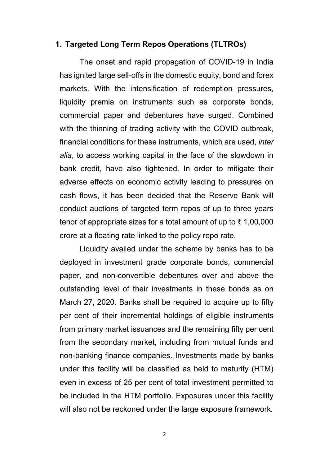#### **1. Targeted Long Term Repos Operations (TLTROs)**

The onset and rapid propagation of COVID-19 in India has ignited large sell-offs in the domestic equity, bond and forex markets. With the intensification of redemption pressures, liquidity premia on instruments such as corporate bonds, commercial paper and debentures have surged. Combined with the thinning of trading activity with the COVID outbreak, financial conditions for these instruments, which are used, *inter alia*, to access working capital in the face of the slowdown in bank credit, have also tightened. In order to mitigate their adverse effects on economic activity leading to pressures on cash flows, it has been decided that the Reserve Bank will conduct auctions of targeted term repos of up to three years tenor of appropriate sizes for a total amount of up to  $\bar{\tau}$  1,00,000 crore at a floating rate linked to the policy repo rate.

Liquidity availed under the scheme by banks has to be deployed in investment grade corporate bonds, commercial paper, and non-convertible debentures over and above the outstanding level of their investments in these bonds as on March 27, 2020. Banks shall be required to acquire up to fifty per cent of their incremental holdings of eligible instruments from primary market issuances and the remaining fifty per cent from the secondary market, including from mutual funds and non-banking finance companies. Investments made by banks under this facility will be classified as held to maturity (HTM) even in excess of 25 per cent of total investment permitted to be included in the HTM portfolio. Exposures under this facility will also not be reckoned under the large exposure framework.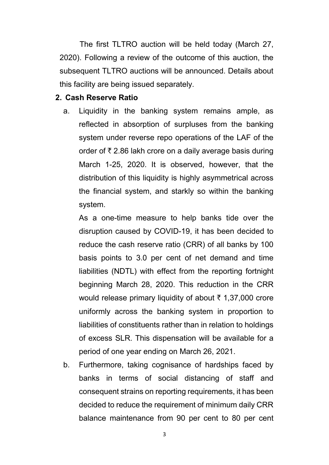The first TLTRO auction will be held today (March 27, 2020). Following a review of the outcome of this auction, the subsequent TLTRO auctions will be announced. Details about this facility are being issued separately.

# **2. Cash Reserve Ratio**

a. Liquidity in the banking system remains ample, as reflected in absorption of surpluses from the banking system under reverse repo operations of the LAF of the order of  $\bar{\tau}$  2.86 lakh crore on a daily average basis during March 1-25, 2020. It is observed, however, that the distribution of this liquidity is highly asymmetrical across the financial system, and starkly so within the banking system.

As a one-time measure to help banks tide over the disruption caused by COVID-19, it has been decided to reduce the cash reserve ratio (CRR) of all banks by 100 basis points to 3.0 per cent of net demand and time liabilities (NDTL) with effect from the reporting fortnight beginning March 28, 2020. This reduction in the CRR would release primary liquidity of about  $\bar{\tau}$  1,37,000 crore uniformly across the banking system in proportion to liabilities of constituents rather than in relation to holdings of excess SLR. This dispensation will be available for a period of one year ending on March 26, 2021.

b. Furthermore, taking cognisance of hardships faced by banks in terms of social distancing of staff and consequent strains on reporting requirements, it has been decided to reduce the requirement of minimum daily CRR balance maintenance from 90 per cent to 80 per cent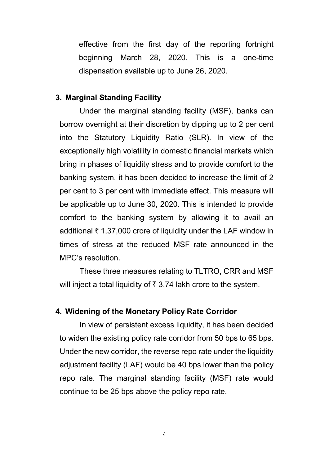effective from the first day of the reporting fortnight beginning March 28, 2020. This is a one-time dispensation available up to June 26, 2020.

## **3. Marginal Standing Facility**

Under the marginal standing facility (MSF), banks can borrow overnight at their discretion by dipping up to 2 per cent into the Statutory Liquidity Ratio (SLR). In view of the exceptionally high volatility in domestic financial markets which bring in phases of liquidity stress and to provide comfort to the banking system, it has been decided to increase the limit of 2 per cent to 3 per cent with immediate effect. This measure will be applicable up to June 30, 2020. This is intended to provide comfort to the banking system by allowing it to avail an additional  $\bar{\tau}$  1,37,000 crore of liquidity under the LAF window in times of stress at the reduced MSF rate announced in the MPC's resolution.

These three measures relating to TLTRO, CRR and MSF will inject a total liquidity of  $\bar{\tau}$  3.74 lakh crore to the system.

# **4. Widening of the Monetary Policy Rate Corridor**

In view of persistent excess liquidity, it has been decided to widen the existing policy rate corridor from 50 bps to 65 bps. Under the new corridor, the reverse repo rate under the liquidity adjustment facility (LAF) would be 40 bps lower than the policy repo rate. The marginal standing facility (MSF) rate would continue to be 25 bps above the policy repo rate.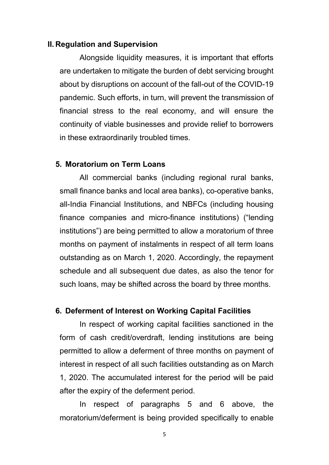#### **II. Regulation and Supervision**

Alongside liquidity measures, it is important that efforts are undertaken to mitigate the burden of debt servicing brought about by disruptions on account of the fall-out of the COVID-19 pandemic. Such efforts, in turn, will prevent the transmission of financial stress to the real economy, and will ensure the continuity of viable businesses and provide relief to borrowers in these extraordinarily troubled times.

### **5. Moratorium on Term Loans**

All commercial banks (including regional rural banks, small finance banks and local area banks), co-operative banks, all-India Financial Institutions, and NBFCs (including housing finance companies and micro-finance institutions) ("lending institutions") are being permitted to allow a moratorium of three months on payment of instalments in respect of all term loans outstanding as on March 1, 2020. Accordingly, the repayment schedule and all subsequent due dates, as also the tenor for such loans, may be shifted across the board by three months.

# **6. Deferment of Interest on Working Capital Facilities**

In respect of working capital facilities sanctioned in the form of cash credit/overdraft, lending institutions are being permitted to allow a deferment of three months on payment of interest in respect of all such facilities outstanding as on March 1, 2020. The accumulated interest for the period will be paid after the expiry of the deferment period.

In respect of paragraphs 5 and 6 above, the moratorium/deferment is being provided specifically to enable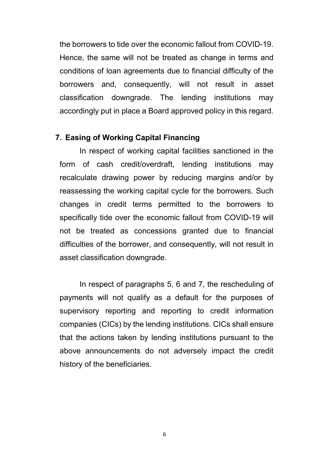the borrowers to tide over the economic fallout from COVID-19. Hence, the same will not be treated as change in terms and conditions of loan agreements due to financial difficulty of the borrowers and, consequently, will not result in asset classification downgrade. The lending institutions may accordingly put in place a Board approved policy in this regard.

# **7. Easing of Working Capital Financing**

In respect of working capital facilities sanctioned in the form of cash credit/overdraft, lending institutions may recalculate drawing power by reducing margins and/or by reassessing the working capital cycle for the borrowers. Such changes in credit terms permitted to the borrowers to specifically tide over the economic fallout from COVID-19 will not be treated as concessions granted due to financial difficulties of the borrower, and consequently, will not result in asset classification downgrade.

In respect of paragraphs 5, 6 and 7, the rescheduling of payments will not qualify as a default for the purposes of supervisory reporting and reporting to credit information companies (CICs) by the lending institutions. CICs shall ensure that the actions taken by lending institutions pursuant to the above announcements do not adversely impact the credit history of the beneficiaries.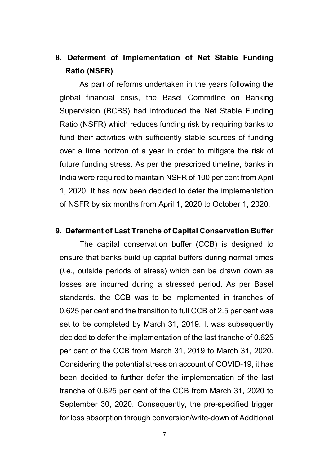# **8. Deferment of Implementation of Net Stable Funding Ratio (NSFR)**

As part of reforms undertaken in the years following the global financial crisis, the Basel Committee on Banking Supervision (BCBS) had introduced the Net Stable Funding Ratio (NSFR) which reduces funding risk by requiring banks to fund their activities with sufficiently stable sources of funding over a time horizon of a year in order to mitigate the risk of future funding stress. As per the prescribed timeline, banks in India were required to maintain NSFR of 100 per cent from April 1, 2020. It has now been decided to defer the implementation of NSFR by six months from April 1, 2020 to October 1, 2020.

#### **9. Deferment of Last Tranche of Capital Conservation Buffer**

The capital conservation buffer (CCB) is designed to ensure that banks build up capital buffers during normal times (*i.e.*, outside periods of stress) which can be drawn down as losses are incurred during a stressed period. As per Basel standards, the CCB was to be implemented in tranches of 0.625 per cent and the transition to full CCB of 2.5 per cent was set to be completed by March 31, 2019. It was subsequently decided to defer the implementation of the last tranche of 0.625 per cent of the CCB from March 31, 2019 to March 31, 2020. Considering the potential stress on account of COVID-19, it has been decided to further defer the implementation of the last tranche of 0.625 per cent of the CCB from March 31, 2020 to September 30, 2020. Consequently, the pre-specified trigger for loss absorption through conversion/write-down of Additional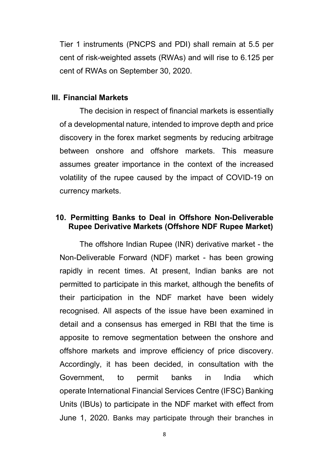Tier 1 instruments (PNCPS and PDI) shall remain at 5.5 per cent of risk-weighted assets (RWAs) and will rise to 6.125 per cent of RWAs on September 30, 2020.

#### **III. Financial Markets**

The decision in respect of financial markets is essentially of a developmental nature, intended to improve depth and price discovery in the forex market segments by reducing arbitrage between onshore and offshore markets. This measure assumes greater importance in the context of the increased volatility of the rupee caused by the impact of COVID-19 on currency markets.

# **10. Permitting Banks to Deal in Offshore Non-Deliverable Rupee Derivative Markets (Offshore NDF Rupee Market)**

The offshore Indian Rupee (INR) derivative market - the Non-Deliverable Forward (NDF) market - has been growing rapidly in recent times. At present, Indian banks are not permitted to participate in this market, although the benefits of their participation in the NDF market have been widely recognised. All aspects of the issue have been examined in detail and a consensus has emerged in RBI that the time is apposite to remove segmentation between the onshore and offshore markets and improve efficiency of price discovery. Accordingly, it has been decided, in consultation with the Government, to permit banks in India which operate International Financial Services Centre (IFSC) Banking Units (IBUs) to participate in the NDF market with effect from June 1, 2020. Banks may participate through their branches in